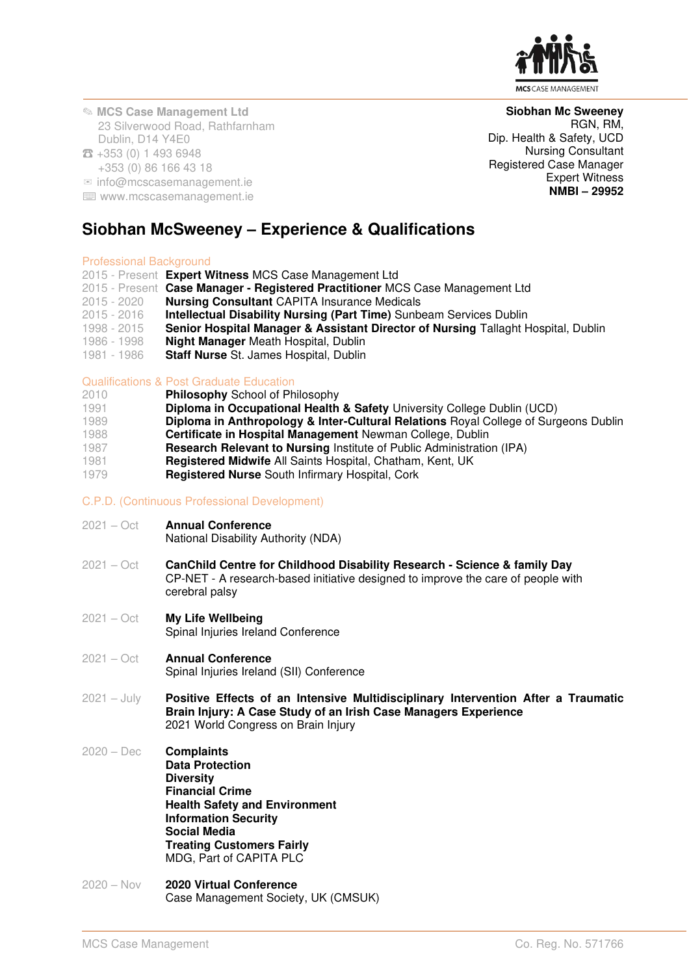

✎ **MCS Case Management Ltd**  23 Silverwood Road, Rathfarnham Dublin, D14 Y4E0 ☎ +353 (0) 1 493 6948

### +353 (0) 86 166 43 18

 $\infty$  info@mcscasemanagement.ie

⌨ www.mcscasemanagement.ie

# **Siobhan McSweeney – Experience & Qualifications**

### Professional Background

- 2015 Present **Expert Witness** MCS Case Management Ltd
- 2015 Present **Case Manager Registered Practitioner** MCS Case Management Ltd
- 2015 2020 **Nursing Consultant** CAPITA Insurance Medicals
- 2015 2016 **Intellectual Disability Nursing (Part Time)** Sunbeam Services Dublin
- 1998 2015 **Senior Hospital Manager & Assistant Director of Nursing** Tallaght Hospital, Dublin
- 1986 1998 **Night Manager** Meath Hospital, Dublin
- **Staff Nurse** St. James Hospital, Dublin

# Qualifications & Post Graduate Education<br>2010 **Philosophy School of Philosophy**

- 2010 **Philosophy** School of Philosophy
- **Diploma in Occupational Health & Safety University College Dublin (UCD)**
- 1989 **Diploma in Anthropology & Inter-Cultural Relations** Royal College of Surgeons Dublin
- 
- 1988 **Certificate in Hospital Management** Newman College, Dublin 1987 **Research Relevant to Nursing** Institute of Public Administration (IPA)
- 1981 **Registered Midwife** All Saints Hospital, Chatham, Kent, UK
- Registered Nurse South Infirmary Hospital, Cork

## C.P.D. (Continuous Professional Development)

2021 – Oct **Annual Conference** 

National Disability Authority (NDA)

- 2021 Oct **CanChild Centre for Childhood Disability Research Science & family Day**  CP-NET - A research-based initiative designed to improve the care of people with cerebral palsy
- 2021 Oct **My Life Wellbeing** Spinal Injuries Ireland Conference
- 2021 Oct **Annual Conference**  Spinal Injuries Ireland (SII) Conference
- 2021 July **Positive Effects of an Intensive Multidisciplinary Intervention After a Traumatic Brain Injury: A Case Study of an Irish Case Managers Experience** 2021 World Congress on Brain Injury
- 2020 Dec **Complaints Data Protection Diversity Financial Crime Health Safety and Environment Information Security Social Media Treating Customers Fairly**  MDG, Part of CAPITA PLC
- 2020 Nov **2020 Virtual Conference**  Case Management Society, UK (CMSUK)

**Siobhan Mc Sweeney** RGN, RM, Dip. Health & Safety, UCD Nursing Consultant Registered Case Manager Expert Witness **NMBI – 29952**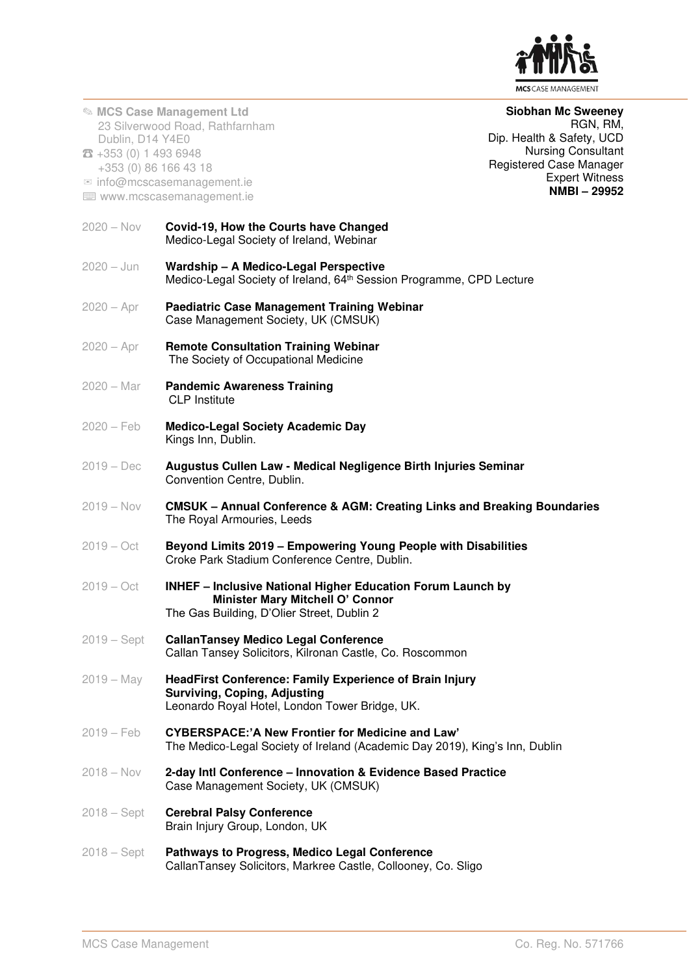

✎ **MCS Case Management Ltd**  23 Silverwood Road, Rathfarnham Dublin, D14 Y4E0 ☎ +353 (0) 1 493 6948 +353 (0) 86 166 43 18  $\infty$  info@mcscasemanagement.ie ⌨ www.mcscasemanagement.ie **Siobhan Mc Sweeney** RGN, RM, Dip. Health & Safety, UCD Nursing Consultant Registered Case Manager Expert Witness **NMBI – 29952** 2020 – Nov **Covid-19, How the Courts have Changed**  Medico-Legal Society of Ireland, Webinar 2020 – Jun **Wardship – A Medico-Legal Perspective**  Medico-Legal Society of Ireland, 64<sup>th</sup> Session Programme, CPD Lecture 2020 – Apr **Paediatric Case Management Training Webinar**  Case Management Society, UK (CMSUK) 2020 – Apr **Remote Consultation Training Webinar**  The Society of Occupational Medicine 2020 – Mar **Pandemic Awareness Training**  CLP Institute 2020 – Feb **Medico-Legal Society Academic Day** Kings Inn, Dublin. 2019 – Dec **Augustus Cullen Law - Medical Negligence Birth Injuries Seminar** Convention Centre, Dublin. 2019 – Nov **CMSUK – Annual Conference & AGM: Creating Links and Breaking Boundaries** The Royal Armouries, Leeds 2019 – Oct **Beyond Limits 2019 – Empowering Young People with Disabilities** Croke Park Stadium Conference Centre, Dublin. 2019 – Oct **INHEF – Inclusive National Higher Education Forum Launch by Minister Mary Mitchell O' Connor** The Gas Building, D'Olier Street, Dublin 2 2019 – Sept **CallanTansey Medico Legal Conference** Callan Tansey Solicitors, Kilronan Castle, Co. Roscommon 2019 – May **HeadFirst Conference: Family Experience of Brain Injury Surviving, Coping, Adjusting** Leonardo Royal Hotel, London Tower Bridge, UK. 2019 – Feb **CYBERSPACE:'A New Frontier for Medicine and Law'** The Medico-Legal Society of Ireland (Academic Day 2019), King's Inn, Dublin 2018 – Nov **2-day Intl Conference – Innovation & Evidence Based Practice**  Case Management Society, UK (CMSUK) 2018 – Sept **Cerebral Palsy Conference**  Brain Injury Group, London, UK 2018 – Sept **Pathways to Progress, Medico Legal Conference**  CallanTansey Solicitors, Markree Castle, Collooney, Co. Sligo